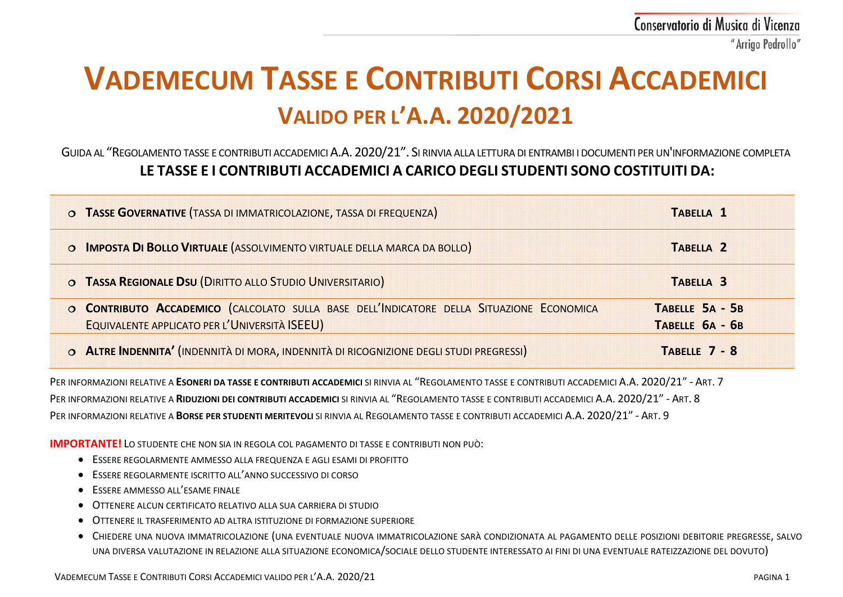# **VADEMECUM TASSE E CONTRIBUTI CORSI ACCADEMICI VALIDO PER L'A.A. 2020/2021**

# GUIDA AL "REGOLAMENTO TASSE E CONTRIBUTI ACCADEMICI A.A. 2020/21". SI RINVIA ALLA LETTURA DI ENTRAMBI I DOCUMENTI PER UN'INFORMAZIONE COMPLETA **LE TASSE E I CONTRIBUTI ACCADEMICI A CARICO DEGLI STUDENTI SONO COSTITUITI DA:**

| O TASSE GOVERNATIVE (TASSA DI IMMATRICOLAZIONE, TASSA DI FREQUENZA)                      | TABELLA 1            |
|------------------------------------------------------------------------------------------|----------------------|
| O IMPOSTA DI BOLLO VIRTUALE (ASSOLVIMENTO VIRTUALE DELLA MARCA DA BOLLO)                 | TABELLA <sub>2</sub> |
| O TASSA REGIONALE DSU (DIRITTO ALLO STUDIO UNIVERSITARIO)                                | TABELLA <sub>3</sub> |
| O CONTRIBUTO ACCADEMICO (CALCOLATO SULLA BASE DELL'INDICATORE DELLA SITUAZIONE ECONOMICA | TABELLE 5A - 5B      |
| EQUIVALENTE APPLICATO PER L'UNIVERSITÀ ISEEU)                                            | TABELLE 6A - 6B      |
| O ALTRE INDENNITA' (INDENNITÀ DI MORA, INDENNITÀ DI RICOGNIZIONE DEGLI STUDI PREGRESSI)  | TABELLE 7 - 8        |

PER INFORMAZIONI RELATIVE A **ESONERI DA TASSE E CONTRIBUTI ACCADEMICI** SI RINVIA AL "REGOLAMENTO TASSE E CONTRIBUTI ACCADEMICI A.A. 2020/21" - ART. 7 PER INFORMAZIONI RELATIVE A **RIDUZIONI DEI CONTRIBUTI ACCADEMICI** SI RINVIA AL "REGOLAMENTO TASSE E CONTRIBUTI ACCADEMICI A.A. 2020/21" - ART. 8 PER INFORMAZIONI RELATIVE A **BORSE PER STUDENTI MERITEVOLI** SI RINVIA AL REGOLAMENTO TASSE E CONTRIBUTI ACCADEMICI A.A. 2020/21" - ART. 9

**IMPORTANTE!** LO STUDENTE CHE NON SIA IN REGOLA COL PAGAMENTO DI TASSE E CONTRIBUTI NON PUÒ:

- ESSERE REGOLARMENTE AMMESSO ALLA FREQUENZA E AGLI ESAMI DI PROFITTO
- ESSERE REGOLARMENTE ISCRITTO ALL'ANNO SUCCESSIVO DI CORSO
- ESSERE AMMESSO ALL'ESAME FINALE
- OTTENERE ALCUN CERTIFICATO RELATIVO ALLA SUA CARRIERA DI STUDIO
- OTTENERE IL TRASFERIMENTO AD ALTRA ISTITUZIONE DI FORMAZIONE SUPERIORE
- CHIEDERE UNA NUOVA IMMATRICOLAZIONE (UNA EVENTUALE NUOVA IMMATRICOLAZIONE SARÀ CONDIZIONATA AL PAGAMENTO DELLE POSIZIONI DEBITORIE PREGRESSE, SALVO UNA DIVERSA VALUTAZIONE IN RELAZIONE ALLA SITUAZIONE ECONOMICA/SOCIALE DELLO STUDENTE INTERESSATO AI FINI DI UNA EVENTUALE RATEIZZAZIONE DEL DOVUTO)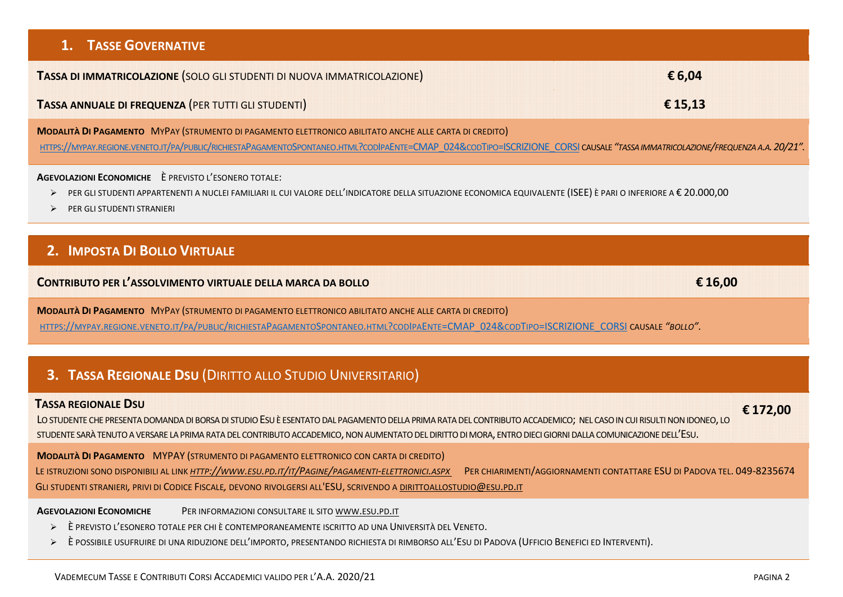# **1. TASSE GOVERNATIVE**

**TASSA DI IMMATRICOLAZIONE** (SOLO GLI STUDENTI DI NUOVA IMMATRICOLAZIONE) **€ 6,04**

### **TASSA ANNUALE DI FREQUENZA** (PER TUTTI GLI STUDENTI) **€ 15,13**

**MODALITÀ DI PAGAMENTO** MYPAY (STRUMENTO DI PAGAMENTO ELETTRONICO ABILITATO ANCHE ALLE CARTA DI CREDITO) [HTTPS://MYPAY.REGIONE.VENETO.IT/PA/PUBLIC/RICHIESTAPAGAMENTOSPONTANEO.HTML?CODIPAENTE=CMAP\\_024&CODTIPO=ISCRIZIONE\\_CORSI](https://mypay.regione.veneto.it/pa/public/richiestaPagamentoSpontaneo.html?codIpaEnte=CMAP_024&codTipo=ISCRIZIONE_CORSI) CAUSALE "TASSA IMMATRICOLAZIONE/FREQUENZA A.A. 20/21".

#### **AGEVOLAZIONI ECONOMICHE** È PREVISTO L'ESONERO TOTALE:

- PER GLI STUDENTI APPARTENENTI A NUCLEI FAMILIARI IL CUI VALORE DELL'INDICATORE DELLA SITUAZIONE ECONOMICA EQUIVALENTE (ISEE) È PARI O INFERIORE A € 20.000,00
- **PER GLI STUDENTI STRANIERI**

# **2. IMPOSTA DI BOLLO VIRTUALE**

# **CONTRIBUTO PER L'ASSOLVIMENTO VIRTUALE DELLA MARCA DA BOLLO € 16,00**

**MODALITÀ DI PAGAMENTO** MYPAY (STRUMENTO DI PAGAMENTO ELETTRONICO ABILITATO ANCHE ALLE CARTA DI CREDITO) [HTTPS://MYPAY.REGIONE.VENETO.IT/PA/PUBLIC/RICHIESTAPAGAMENTOSPONTANEO.HTML?CODIPAENTE=CMAP\\_024&CODTIPO=ISCRIZIONE\\_CORSI](https://mypay.regione.veneto.it/pa/public/richiestaPagamentoSpontaneo.html?codIpaEnte=CMAP_024&codTipo=ISCRIZIONE_CORSI) CAUSALE *"BOLLO".*

# **3. TASSA REGIONALE DSU** (DIRITTO ALLO STUDIO UNIVERSITARIO)

#### **TASSA REGIONALE DSU**

LO STUDENTE CHE PRESENTA DOMANDA DI BORSA DI STUDIO ESU È ESENTATO DAL PAGAMENTO DELLA PRIMA RATA DEL CONTRIBUTO ACCADEMICO; NEL CASO IN CUI RISULTI NON IDONEO, LO STUDENTE SARÀ TENUTO A VERSARE LA PRIMA RATA DEL CONTRIBUTO ACCADEMICO, NON AUMENTATO DEL DIRITTO DI MORA, ENTRO DIECI GIORNI DALLA COMUNICAZIONE DELL'ESU.

**MODALITÀ DI PAGAMENTO** MYPAY (STRUMENTO DI PAGAMENTO ELETTRONICO CON CARTA DI CREDITO) LE ISTRUZIONI SONO DISPONIBILI AL LINK *[HTTP://WWW.ESU.PD.IT/IT/PAGINE/PAGAMENTI-ELETTRONICI.ASPX](http://www.esu.pd.it/it/Pagine/pagamenti-elettronici.aspx)* PER CHIARIMENTI/AGGIORNAMENTI CONTATTARE ESU DI PADOVA TEL. 049-8235674 GLI STUDENTI STRANIERI*,* PRIVI DI CODICE FISCALE*,* DEVONO RIVOLGERSI ALL'ESU, SCRIVENDO A [DIRITTOALLOSTUDIO@ESU.PD.IT](mailto:dirittoallostudio@esu.pd.it) 

**AGEVOLAZIONI ECONOMICHE** PER INFORMAZIONI CONSULTARE IL SITO [WWW.ESU.PD.IT](http://www.esu.pd.it/)

- È PREVISTO L'ESONERO TOTALE PER CHI È CONTEMPORANEAMENTE ISCRITTO AD UNA UNIVERSITÀ DEL VENETO.
- È POSSIBILE USUFRUIRE DI UNA RIDUZIONE DELL'IMPORTO, PRESENTANDO RICHIESTA DI RIMBORSO ALL'ESU DI PADOVA (UFFICIO BENEFICI ED INTERVENTI).

 **€ 172,00**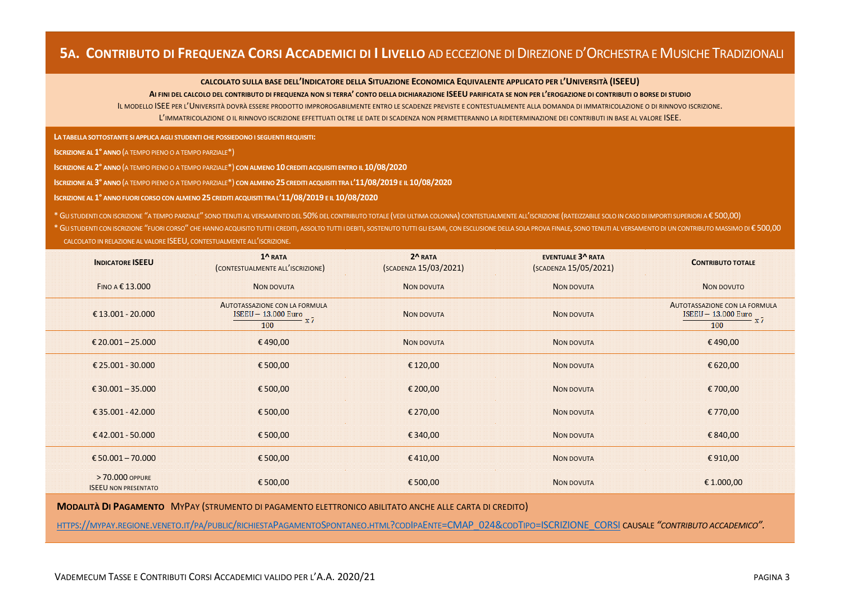# **5A. CONTRIBUTO DI FREQUENZA CORSI ACCADEMICI DI I LIVELLO** AD ECCEZIONE DI DIREZIONE D'ORCHESTRA E MUSICHE TRADIZIONALI

#### **CALCOLATO SULLA BASE DELL'INDICATORE DELLA SITUAZIONE ECONOMICA EQUIVALENTE APPLICATO PER L'UNIVERSITÀ (ISEEU)**

#### **AI FINI DEL CALCOLO DEL CONTRIBUTO DI FREQUENZA NON SI TERRA' CONTO DELLA DICHIARAZIONE ISEEU PARIFICATA SE NON PER L'EROGAZIONE DI CONTRIBUTI O BORSE DI STUDIO**

IL MODELLO ISEE PER L'UNIVERSITÀ DOVRÀ ESSERE PRODOTTO IMPROROGABILMENTE ENTRO LE SCADENZE PREVISTE E CONTESTUALMENTE ALLA DOMANDA DI IMMATRICOLAZIONE O DI RINNOVO ISCRIZIONE.

L'IMMATRICOLAZIONE O IL RINNOVO ISCRIZIONE EFFETTUATI OLTRE LE DATE DI SCADENZA NON PERMETTERANNO LA RIDETERMINAZIONE DEI CONTRIBUTI IN BASE AL VALORE ISEE.

**LA TABELLA SOTTOSTANTE SI APPLICA AGLI STUDENTI CHE POSSIEDONO I SEGUENTI REQUISITI:**

) **ISCRIZIONE AL 1° ANNO**(A TEMPO PIENO O A TEMPO PARZIALE\*)

**ISCRIZIONE AL 2° ANNO**(A TEMPO PIENO O A TEMPO PARZIALE\*) **CON ALMENO 10 CREDITI ACQUISITI ENTRO IL 10/08/2020**

) **ISCRIZIONE AL 3° ANNO**(A TEMPO PIENO O A TEMPO PARZIALE\*) **CON ALMENO 25 CREDITI ACQUISITI TRA L'11/08/2019 E IL 10/08/2020**

**ISCRIZIONE AL 1° ANNO FUORI CORSO CON ALMENO 25 CREDITI ACQUISITI TRA L'11/08/2019 E IL 10/08/2020**

\*GLI STUDENTI CON ISCRIZIONE "A TEMPO PARZIALE" SONO TENUTI AL VERSAMENTO DEL 50%DEL CONTRIBUTO TOTALE (VEDI ULTIMA COLONNA) CONTESTUALMENTE ALL'ISCRIZIONE (RATEIZZABILE SOLO IN CASO DI IMPORTI SUPERIORI A € 500,00)

\* GU STUDENTI CON ISCRIZIONE "FUORI CORSO" CHE HANNO ACQUISITO TUTTI I CREDITI. ASSOLTO TUTTI I DEBITI. SOSTENUTO TUTTI I DEBITI. SOSTENUTO TUTTI I DEBITI. SOSTENUTO TUTTI I GI ESAMI. CON ESCLUSIONE DELLA SOLA PROVA FINAL CALCOLATO IN RELAZIONE AL VALORE ISEEU, CONTESTUALMENTE ALL'ISCRIZIONE.

| <b>INDICATORE ISEEU</b>                        | 1^ RATA<br>(CONTESTUALMENTE ALL'ISCRIZIONE)                                 | $2^A$ RATA<br>(SCADENZA 15/03/2021) | <b>EVENTUALE 3^ RATA</b><br>(SCADENZA 15/05/2021) | <b>CONTRIBUTO TOTALE</b>                                                           |
|------------------------------------------------|-----------------------------------------------------------------------------|-------------------------------------|---------------------------------------------------|------------------------------------------------------------------------------------|
| FINO A € 13.000                                | <b>NON DOVUTA</b>                                                           | NON DOVUTA                          | <b>NON DOVUTA</b>                                 | NON DOVUTO                                                                         |
| €13.001 - 20.000                               | AUTOTASSAZIONE CON LA FORMULA<br><b>ISEEU - 13.000 Euro</b><br>– x 7<br>100 | <b>NON DOVUTA</b>                   | <b>NON DOVUTA</b>                                 | <b>AUTOTASSAZIONE CON LA FORMULA</b><br><b>ISEEU - 13.000 Euro</b><br>– x 7<br>100 |
| € 20.001 - 25.000                              | €490,00                                                                     | <b>NON DOVUTA</b>                   | <b>NON DOVUTA</b>                                 | €490,00                                                                            |
| € 25.001 - 30.000                              | €500,00                                                                     | € 120,00                            | <b>NON DOVUTA</b>                                 | € 620,00                                                                           |
| € 30.001 - 35.000                              | €500,00                                                                     | € 200,00                            | <b>NON DOVUTA</b>                                 | €700,00                                                                            |
| € 35.001 - 42.000                              | €500,00                                                                     | € 270,00                            | <b>NON DOVUTA</b>                                 | €770,00                                                                            |
| €42.001 - 50.000                               | €500,00                                                                     | € 340,00                            | <b>NON DOVUTA</b>                                 | €840,00                                                                            |
| € 50.001 - 70.000                              | €500,00                                                                     | €410,00                             | <b>NON DOVUTA</b>                                 | € 910,00                                                                           |
| > 70.000 OPPURE<br><b>ISEEU NON PRESENTATO</b> | €500,00                                                                     | €500,00                             | <b>NON DOVUTA</b>                                 | €1.000,00                                                                          |

**MODALITÀ DI PAGAMENTO** MYPAY (STRUMENTO DI PAGAMENTO ELETTRONICO ABILITATO ANCHE ALLE CARTA DI CREDITO)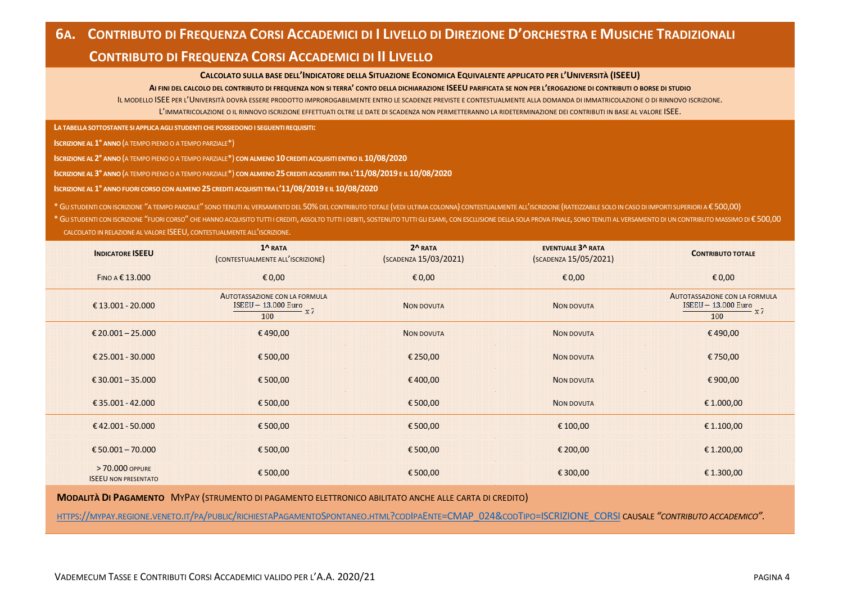# **CONTRIBUTO DI FREQUENZA CORSI ACCADEMICI DI II LIVELLO**

#### **CALCOLATO SULLA BASE DELL'INDICATORE DELLA SITUAZIONE ECONOMICA EQUIVALENTE APPLICATO PER L'UNIVERSITÀ (ISEEU)**

**AI FINI DEL CALCOLO DEL CONTRIBUTO DI FREQUENZA NON SI TERRA' CONTO DELLA DICHIARAZIONE ISEEU PARIFICATA SE NON PER L'EROGAZIONE DI CONTRIBUTI O BORSE DI STUDIO**

IL MODELLO ISEE PER L'UNIVERSITÀ DOVRÀ ESSERE PRODOTTO IMPROROGABILMENTE ENTRO LE SCADENZE PREVISTE E CONTESTUALMENTE ALLA DOMANDA DI IMMATRICOLAZIONE O DI RINNOVO ISCRIZIONE. L'IMMATRICOLAZIONE O IL RINNOVO ISCRIZIONE EFFETTUATI OLTRE LE DATE DI SCADENZA NON PERMETTERANNO LA RIDETERMINAZIONE DEI CONTRIBUTI IN BASE AL VALORE ISEE.

**LA TABELLA SOTTOSTANTE SI APPLICA AGLI STUDENTI CHE POSSIEDONO I SEGUENTI REQUISITI:**

**ISCRIZIONE AL 1° ANNO**(A TEMPO PIENO O A TEMPO PARZIALE\*)

) **ISCRIZIONE AL 2° ANNO**(A TEMPO PIENO O A TEMPO PARZIALE\*) **CON ALMENO 10 CREDITI ACQUISITI ENTRO IL 10/08/2020**

) **ISCRIZIONE AL 3° ANNO**(A TEMPO PIENO O A TEMPO PARZIALE\*) **CON ALMENO 25 CREDITI ACQUISITI TRA L'11/08/2019 E IL 10/08/2020**

**ISCRIZIONE AL 1° ANNO FUORI CORSO CON ALMENO 25 CREDITI ACQUISITI TRA L'11/08/2019 E IL 10/08/2020**

\*GLI STUDENTI CON ISCRIZIONE "A TEMPO PARZIALE" SONO TENUTI AL VERSAMENTO DEL 50%DEL CONTRIBUTO TOTALE (VEDI ULTIMA COLONNA) CONTESTUALMENTE ALL'ISCRIZIONE (RATEIZZABILE SOLO IN CASO DI IMPORTI SUPERIORI A € 500,00)

\* GLI STUDENTI CON ISCRIZIONE "FUORI CORSO" CHE HANNO ACQUISITO TUTTI I CREDITI, ASSOLTO TUTTI I DEBITI, SOSTENUTO TUTTI GLI ESAMI, CON ESCLUSIONE DELLA SOLA PROVA FINALE, SONO TENUTI AL VERSAMENTO DI UN CONTRIBUTO MASSIM CALCOLATO IN RELAZIONE AL VALORE ISEEU, CONTESTUALMENTE ALL'ISCRIZIONE.

| <b>INDICATORE ISEEU</b>                       | 1^ RATA<br>(CONTESTUALMENTE ALL'ISCRIZIONE)                                 | 2^RATA<br>(SCADENZA 15/03/2021) | <b>EVENTUALE 3^ RATA</b><br>(SCADENZA 15/05/2021) | <b>CONTRIBUTO TOTALE</b>                                                    |
|-----------------------------------------------|-----------------------------------------------------------------------------|---------------------------------|---------------------------------------------------|-----------------------------------------------------------------------------|
| FINO A € 13.000                               | $\epsilon$ 0,00                                                             | € 0,00                          | € 0,00                                            | £0,00                                                                       |
| €13.001 - 20.000                              | AUTOTASSAZIONE CON LA FORMULA<br><b>ISEEU - 13.000 Euro</b><br>– x 7<br>100 | <b>NON DOVUTA</b>               | <b>NON DOVUTA</b>                                 | AUTOTASSAZIONE CON LA FORMULA<br><b>ISEEU - 13.000 Euro</b><br>$-x7$<br>100 |
| € 20.001 - 25.000                             | €490,00                                                                     | <b>NON DOVUTA</b>               | <b>NON DOVUTA</b>                                 | €490,00                                                                     |
| € 25.001 - 30.000                             | €500,00                                                                     | € 250,00                        | <b>NON DOVUTA</b>                                 | €750,00                                                                     |
| € 30.001 - 35.000                             | € 500,00                                                                    | €400,00                         | NON DOVUTA                                        | € 900,00                                                                    |
| €35.001 - 42.000                              | €500,00                                                                     | €500,00                         | <b>NON DOVUTA</b>                                 | € 1.000,00                                                                  |
| €42.001 - 50.000                              | € 500,00                                                                    | € 500,00                        | € 100,00                                          | € 1.100,00                                                                  |
| € 50.001 - 70.000                             | €500,00                                                                     | €500,00                         | € 200,00                                          | € 1.200,00                                                                  |
| >70,000 OPPURE<br><b>ISEEU NON PRESENTATO</b> | €500,00                                                                     | €500,00                         | € 300,00                                          | €1.300,00                                                                   |

**MODALITÀ DI PAGAMENTO** MYPAY (STRUMENTO DI PAGAMENTO ELETTRONICO ABILITATO ANCHE ALLE CARTA DI CREDITO)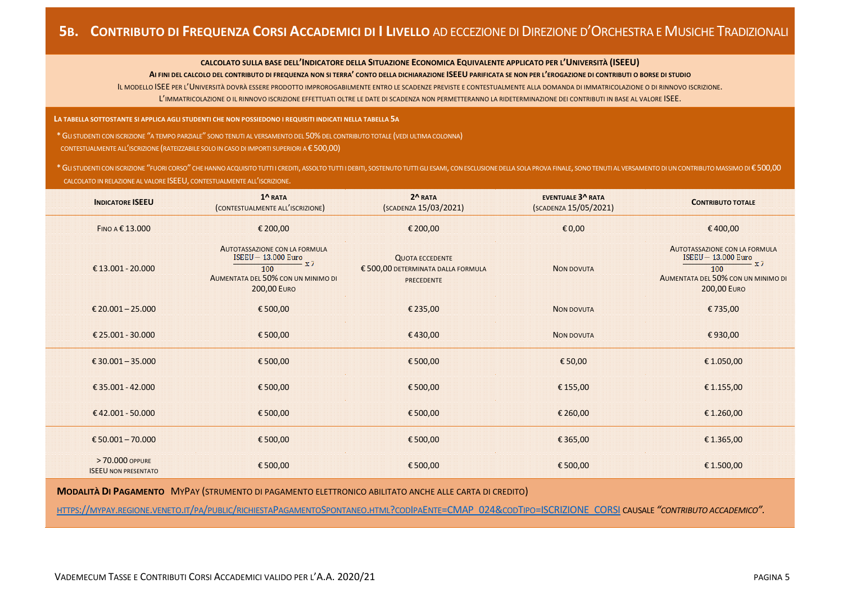#### **CALCOLATO SULLA BASE DELL'INDICATORE DELLA SITUAZIONE ECONOMICA EQUIVALENTE APPLICATO PER L'UNIVERSITÀ (ISEEU)**

#### **AI FINI DEL CALCOLO DEL CONTRIBUTO DI FREQUENZA NON SI TERRA' CONTO DELLA DICHIARAZIONE ISEEU PARIFICATA SE NON PER L'EROGAZIONE DI CONTRIBUTI O BORSE DI STUDIO**

IL MODELLO ISEE PER L'UNIVERSITÀ DOVRÀ ESSERE PRODOTTO IMPROROGABILMENTE ENTRO LE SCADENZE PREVISTE E CONTESTUALMENTE ALLA DOMANDA DI IMMATRICOLAZIONE O DI RINNOVO ISCRIZIONE.

L'IMMATRICOLAZIONE O IL RINNOVO ISCRIZIONE EFFETTUATI OLTRE LE DATE DI SCADENZA NON PERMETTERANNO LA RIDETERMINAZIONE DEI CONTRIBUTI IN BASE AL VALORE ISEE.

**LA TABELLA SOTTOSTANTE SI APPLICA AGLI STUDENTI CHE NON POSSIEDONO I REQUISITI INDICATI NELLA TABELLA 5A**

\*GLI STUDENTI CON ISCRIZIONE "A TEMPO PARZIALE" SONO TENUTI AL VERSAMENTO DEL 50%DEL CONTRIBUTO TOTALE (VEDI ULTIMA COLONNA)

CONTESTUALMENTE ALL'ISCRIZIONE (RATEIZZABILE SOLO IN CASO DI IMPORTI SUPERIORI A € 500,00)

\* GLI STUDENTI CON ISCRIZIONE "FUORI CORSO" CHE HANNO ACQUISITO TUTTI I CREDITI. ASSOLTO TUTTI I DEBITI. SOSTENUTO TUTTI I DEBITI. SOSTENUTO TUTTI I DEBITI. SOSTENUTO TUTTI GLI ESAMI. CON ESCLUSIONE DELLA SOLA PROVA FINAL CALCOLATO IN RELAZIONE AL VALORE ISEEU, CONTESTUALMENTE ALL'ISCRIZIONE.

| <b>INDICATORE ISEEU</b>                       | $1^{\Lambda}$ RATA<br>(CONTESTUALMENTE ALL'ISCRIZIONE)                                                                                          | $2^N$ RATA<br>(SCADENZA 15/03/2021)                                               | <b>EVENTUALE 3^ RATA</b><br>(SCADENZA 15/05/2021) | <b>CONTRIBUTO TOTALE</b>                                                                                                                        |
|-----------------------------------------------|-------------------------------------------------------------------------------------------------------------------------------------------------|-----------------------------------------------------------------------------------|---------------------------------------------------|-------------------------------------------------------------------------------------------------------------------------------------------------|
| FINO A € 13.000                               | € 200,00                                                                                                                                        | € 200,00                                                                          | € 0,00                                            | €400,00                                                                                                                                         |
| €13.001 - 20.000                              | <b>AUTOTASSAZIONE CON LA FORMULA</b><br><b>ISEEU - 13.000 Euro</b><br>$- x7$<br>100<br>AUMENTATA DEL 50% CON UN MINIMO DI<br><b>200,00 EURO</b> | <b>QUOTA ECCEDENTE</b><br>€ 500,00 DETERMINATA DALLA FORMULA<br><b>PRECEDENTE</b> | <b>NON DOVUTA</b>                                 | <b>AUTOTASSAZIONE CON LA FORMULA</b><br><b>ISEEU - 13.000 Euro</b><br>$- x7$<br>100<br>AUMENTATA DEL 50% CON UN MINIMO DI<br><b>200,00 EURO</b> |
| € 20.001 - 25.000                             | € 500,00                                                                                                                                        | € 235,00                                                                          | <b>NON DOVUTA</b>                                 | €735,00                                                                                                                                         |
| € 25.001 - 30.000                             | €500,00                                                                                                                                         | €430,00                                                                           | <b>NON DOVUTA</b>                                 | €930,00                                                                                                                                         |
| € 30.001 - 35.000                             | €500,00                                                                                                                                         | €500,00                                                                           | € 50,00                                           | € 1.050,00                                                                                                                                      |
| €35.001 - 42.000                              | €500,00                                                                                                                                         | € 500,00                                                                          | € 155,00                                          | € 1.155,00                                                                                                                                      |
| €42.001 - 50.000                              | €500,00                                                                                                                                         | €500,00                                                                           | € 260,00                                          | € 1.260,00                                                                                                                                      |
| € 50.001 - 70.000                             | €500,00                                                                                                                                         | € 500,00                                                                          | € 365,00                                          | € 1.365,00                                                                                                                                      |
| >70.000 OPPURE<br><b>ISEEU NON PRESENTATO</b> | €500,00                                                                                                                                         | € 500,00                                                                          | € 500,00                                          | € 1.500,00                                                                                                                                      |

**MODALITÀ DI PAGAMENTO** MYPAY (STRUMENTO DI PAGAMENTO ELETTRONICO ABILITATO ANCHE ALLE CARTA DI CREDITO)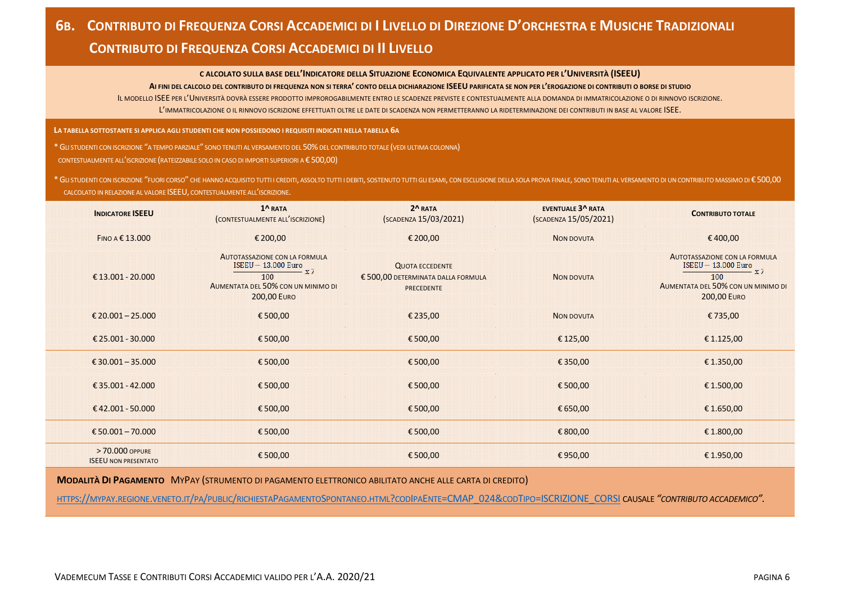# **6B. CONTRIBUTO DI FREQUENZA CORSI ACCADEMICI DI I LIVELLO DI DIREZIONE D'ORCHESTRA E MUSICHE TRADIZIONALI CONTRIBUTO DI FREQUENZA CORSI ACCADEMICI DI II LIVELLO**

#### **C ALCOLATO SULLA BASE DELL'INDICATORE DELLA SITUAZIONE ECONOMICA EQUIVALENTE APPLICATO PER L'UNIVERSITÀ (ISEEU)**

**AI FINI DEL CALCOLO DEL CONTRIBUTO DI FREQUENZA NON SI TERRA' CONTO DELLA DICHIARAZIONE ISEEU PARIFICATA SE NON PER L'EROGAZIONE DI CONTRIBUTI O BORSE DI STUDIO** IL MODELLO ISEE PER L'UNIVERSITÀ DOVRÀ ESSERE PRODOTTO IMPROROGABILMENTE ENTRO LE SCADENZE PREVISTE E CONTESTUALMENTE ALLA DOMANDA DI IMMATRICOLAZIONE O DI RINNOVO ISCRIZIONE. L'IMMATRICOLAZIONE O IL RINNOVO ISCRIZIONE EFFETTUATI OLTRE LE DATE DI SCADENZA NON PERMETTERANNO LA RIDETERMINAZIONE DEI CONTRIBUTI IN BASE AL VALORE ISEE.

**LA TABELLA SOTTOSTANTE SI APPLICA AGLI STUDENTI CHE NON POSSIEDONO I REQUISITI INDICATI NELLA TABELLA 6A**

\*GLI STUDENTI CON ISCRIZIONE "A TEMPO PARZIALE" SONO TENUTI AL VERSAMENTO DEL 50%DEL CONTRIBUTO TOTALE (VEDI ULTIMA COLONNA) CONTESTUALMENTE ALL'ISCRIZIONE (RATEIZZABILE SOLO IN CASO DI IMPORTI SUPERIORI A € 500,00)

\* GU STUDENTI CON ISCRIZIONE "FUORI CORSO" CHE HANNO ACQUISITO TUTTI I CREDITI, ASSOLTO TUTTI I DEBITI, SOSTENUTO TUTTI I DEBITI, SOSTENUTO TUTTI I DEBITI, SOSTENUTO TUTTI I GLI ESAMI, CON ESCLUSIONE DELLA SOLA PROVA FINA CALCOLATO IN RELAZIONE AL VALORE ISEEU, CONTESTUALMENTE ALL'ISCRIZIONE.

| <b>INDICATORE ISEEU</b>                       | 1^RATA<br>(CONTESTUALMENTE ALL'ISCRIZIONE)                                                                                                      | 2^RATA<br>(SCADENZA 15/03/2021)                                                   | <b>EVENTUALE 3^ RATA</b><br>(SCADENZA 15/05/2021) | <b>CONTRIBUTO TOTALE</b>                                                                                                                        |
|-----------------------------------------------|-------------------------------------------------------------------------------------------------------------------------------------------------|-----------------------------------------------------------------------------------|---------------------------------------------------|-------------------------------------------------------------------------------------------------------------------------------------------------|
| FINO A € 13.000                               | € 200,00                                                                                                                                        | € 200,00                                                                          | <b>NON DOVUTA</b>                                 | €400,00                                                                                                                                         |
| € 13.001 - 20.000                             | <b>AUTOTASSAZIONE CON LA FORMULA</b><br><b>ISEEU - 13.000 Euro</b><br>$- x7$<br>100<br>AUMENTATA DEL 50% CON UN MINIMO DI<br><b>200,00 EURO</b> | <b>QUOTA ECCEDENTE</b><br>€ 500,00 DETERMINATA DALLA FORMULA<br><b>PRECEDENTE</b> | <b>NON DOVUTA</b>                                 | <b>AUTOTASSAZIONE CON LA FORMULA</b><br><b>ISEEU - 13.000 Euro</b><br>$- x7$<br>100<br>AUMENTATA DEL 50% CON UN MINIMO DI<br><b>200,00 EURO</b> |
| € 20.001 - 25.000                             | € 500,00                                                                                                                                        | € 235,00                                                                          | <b>NON DOVUTA</b>                                 | €735,00                                                                                                                                         |
| € 25.001 - 30.000                             | € 500,00                                                                                                                                        | €500,00                                                                           | € 125,00                                          | € 1.125,00                                                                                                                                      |
| € 30.001 - 35.000                             | €500,00                                                                                                                                         | €500,00                                                                           | €350,00                                           | €1.350,00                                                                                                                                       |
| €35.001 - 42.000                              | €500,00                                                                                                                                         | €500,00                                                                           | €500,00                                           | € 1.500,00                                                                                                                                      |
| €42.001 - 50.000                              | €500,00                                                                                                                                         | €500,00                                                                           | € 650,00                                          | € 1.650,00                                                                                                                                      |
| € 50.001 - 70.000                             | € 500,00                                                                                                                                        | € 500,00                                                                          | € 800,00                                          | €1.800,00                                                                                                                                       |
| >70,000 OPPURE<br><b>ISEEU NON PRESENTATO</b> | €500,00                                                                                                                                         | €500,00                                                                           | €950,00                                           | €1.950,00                                                                                                                                       |

**MODALITÀ DI PAGAMENTO** MYPAY (STRUMENTO DI PAGAMENTO ELETTRONICO ABILITATO ANCHE ALLE CARTA DI CREDITO)